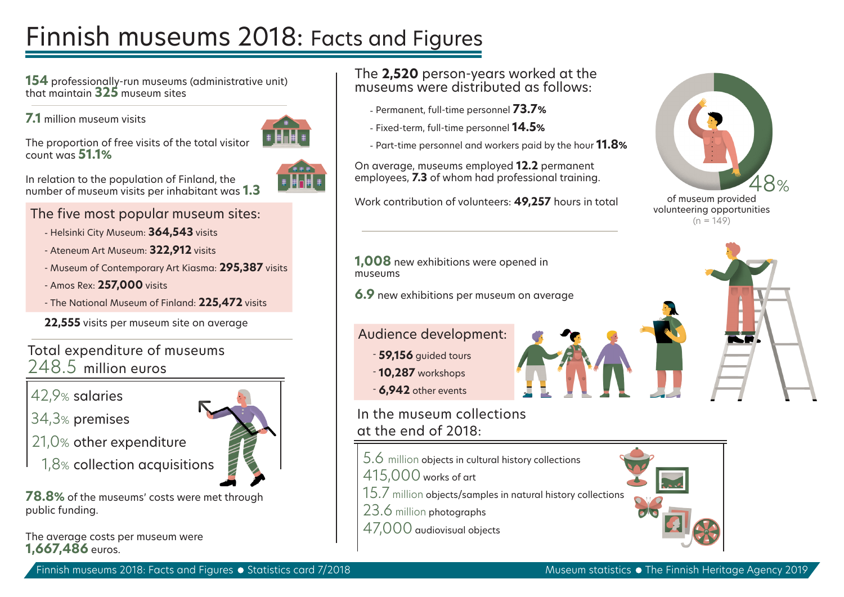# Finnish museums 2018: Facts and Figures

**154** professionally-run museums (administrative unit) that maintain **325** museum sites

**7.1** million museum visits

count was **51.1%**



In relation to the population of Finland, the number of museum visits per inhabitant was **1.3**

The proportion of free visits of the total visitor

The five most popular museum sites:

- Helsinki City Museum: **364,543** visits
- Ateneum Art Museum: **322,912** visits
- Museum of Contemporary Art Kiasma: **295,387** visits
- Amos Rex: **257,000** visits
- The National Museum of Finland: **225,472** visits
- **22,555** visits per museum site on average

Total expenditure of museums 248.5 million euros

42,9% salaries

34,3% premises

- 21,0% other expenditure
	- 1,8% collection acquisitions

**78.8%** of the museums' costs were met through public funding.

The average costs per museum were **1,667,486** euros.

## The **2,520** person-years worked at the museums were distributed as follows:

- Permanent, full-time personnel **73.7%**
- Fixed-term, full-time personnel **14.5%**
- Part-time personnel and workers paid by the hour **11.8%**

On average, museums employed **12.2** permanent employees, **7.3** of whom had professional training.

Work contribution of volunteers: **49,257** hours in total of museum provided



volunteering opportunities  $(n = 149)$ 

**1,008** new exhibitions were opened in museums

**6.9** new exhibitions per museum on average

# Audience development:

- **59,156** guided tours
- **6,942** other events

- **10,287** workshops

# In the museum collections at the end of 2018:

- 5.6 million objects in cultural history collections
- 415,000 works of art
- 15.7 million objects/samples in natural history collections
- 23.6 million photographs
- 47,000 audiovisual objects